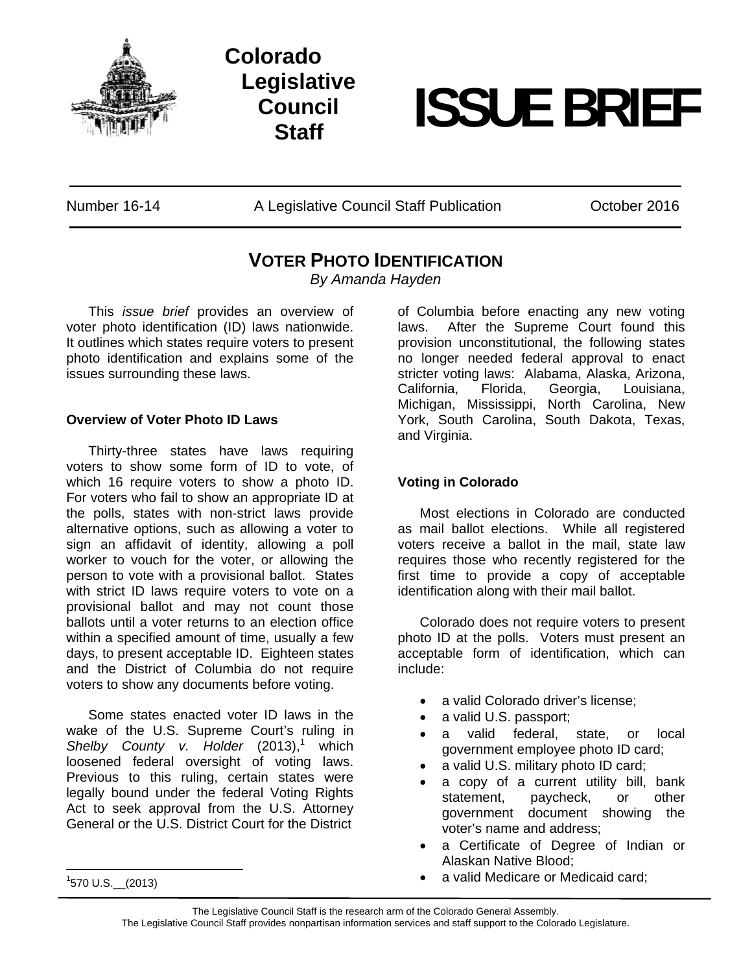

**Colorado Legislative Council** 



Number 16-14 A Legislative Council Staff Publication October 2016

## **VOTER PHOTO IDENTIFICATION**

*By Amanda Hayden* 

This *issue brief* provides an overview of voter photo identification (ID) laws nationwide. It outlines which states require voters to present photo identification and explains some of the issues surrounding these laws.

## **Overview of Voter Photo ID Laws**

Thirty-three states have laws requiring voters to show some form of ID to vote, of which 16 require voters to show a photo ID. For voters who fail to show an appropriate ID at the polls, states with non-strict laws provide alternative options, such as allowing a voter to sign an affidavit of identity, allowing a poll worker to vouch for the voter, or allowing the person to vote with a provisional ballot. States with strict ID laws require voters to vote on a provisional ballot and may not count those ballots until a voter returns to an election office within a specified amount of time, usually a few days, to present acceptable ID. Eighteen states and the District of Columbia do not require voters to show any documents before voting.

Some states enacted voter ID laws in the wake of the U.S. Supreme Court's ruling in Shelby County v. Holder (2013),<sup>1</sup> which loosened federal oversight of voting laws. Previous to this ruling, certain states were legally bound under the federal Voting Rights Act to seek approval from the U.S. Attorney General or the U.S. District Court for the District

 $\frac{1}{1570}$  U.S.  $\frac{2013}{1570}$ 

of Columbia before enacting any new voting laws. After the Supreme Court found this provision unconstitutional, the following states no longer needed federal approval to enact stricter voting laws: Alabama, Alaska, Arizona, California, Florida, Georgia, Louisiana, Michigan, Mississippi, North Carolina, New York, South Carolina, South Dakota, Texas, and Virginia.

## **Voting in Colorado**

Most elections in Colorado are conducted as mail ballot elections. While all registered voters receive a ballot in the mail, state law requires those who recently registered for the first time to provide a copy of acceptable identification along with their mail ballot.

Colorado does not require voters to present photo ID at the polls. Voters must present an acceptable form of identification, which can include:

- a valid Colorado driver's license;
- a valid U.S. passport;
- a valid federal, state, or local government employee photo ID card;
- a valid U.S. military photo ID card;
- a copy of a current utility bill, bank statement, paycheck, or other government document showing the voter's name and address;
- a Certificate of Degree of Indian or Alaskan Native Blood;
- a valid Medicare or Medicaid card;